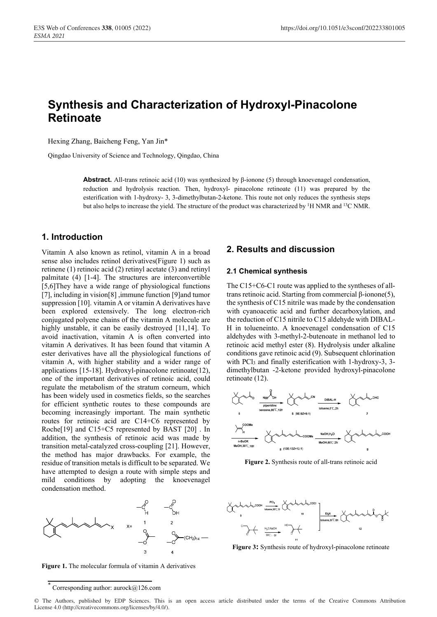# **Synthesis and Characterization of Hydroxyl-Pinacolone Retinoate**

Hexing Zhang, Baicheng Feng, Yan Jin\*

Qingdao University of Science and Technology, Qingdao, China

**Abstract.** All-trans retinoic acid (10) was synthesized by β-ionone (5) through knoevenagel condensation, reduction and hydrolysis reaction. Then, hydroxyl- pinacolone retinoate (11) was prepared by the esterification with 1-hydroxy- 3, 3-dimethylbutan-2-ketone. This route not only reduces the synthesis steps but also helps to increase the yield. The structure of the product was characterized by <sup>1</sup>H NMR and <sup>13</sup>C NMR.

## **1. Introduction**

Vitamin A also known as retinol, vitamin A in a broad sense also includes retinol derivatives(Figure 1) such as retinene (1) retinoic acid (2) retinyl acetate (3) and retinyl palmitate (4) [1-4]. The structures are interconvertible [5,6]They have a wide range of physiological functions [7], including in vision[8] ,immune function [9]and tumor suppression [10]. vitamin A or vitamin A derivatives have been explored extensively. The long electron-rich conjugated polyene chains of the vitamin A molecule are highly unstable, it can be easily destroyed [11,14]. To avoid inactivation, vitamin A is often converted into vitamin A derivatives. It has been found that vitamin A ester derivatives have all the physiological functions of vitamin A, with higher stability and a wider range of applications [15-18]. Hydroxyl-pinacolone retinoate(12), one of the important derivatives of retinoic acid, could regulate the metabolism of the stratum corneum, which has been widely used in cosmetics fields, so the searches for efficient synthetic routes to these compounds are becoming increasingly important. The main synthetic routes for retinoic acid are C14+C6 represented by Roche[19] and C15+C5 represented by BAST [20] . In addition, the synthesis of retinoic acid was made by transition metal-catalyzed cross-coupling [21]. However, the method has major drawbacks. For example, the residue of transition metals is difficult to be separated. We have attempted to design a route with simple steps and mild conditions by adopting the knoevenagel condensation method.



**Figure 1.** The molecular formula of vitamin A derivatives

#### **2. Results and discussion**

#### **2.1 Chemical synthesis**

The C15+C6-C1 route was applied to the syntheses of alltrans retinoic acid. Starting from commercial β-ionone(5), the synthesis of C15 nitrile was made by the condensation with cyanoacetic acid and further decarboxylation, and the reduction of C15 nitrile to C15 aldehyde with DIBAL-H in tolueneinto. A knoevenagel condensation of C15 aldehydes with 3-methyl-2-butenoate in methanol led to retinoic acid methyl ester (8). Hydrolysis under alkaline conditions gave retinoic acid (9). Subsequent chlorination with  $PCl<sub>3</sub>$  and finally esterification with 1-hydroxy-3, 3dimethylbutan -2-ketone provided hydroxyl-pinacolone retinoate (12).



**Figure 2.** Synthesis route of all-trans retinoic acid



**Figure 3:** Synthesis route of hydroxyl-pinacolone retinoate

© The Authors, published by EDP Sciences. This is an open access article distributed under the terms of the Creative Commons Attribution License 4.0 (http://creativecommons.org/licenses/by/4.0/).

<sup>\*</sup> Corresponding author: aurock@126.com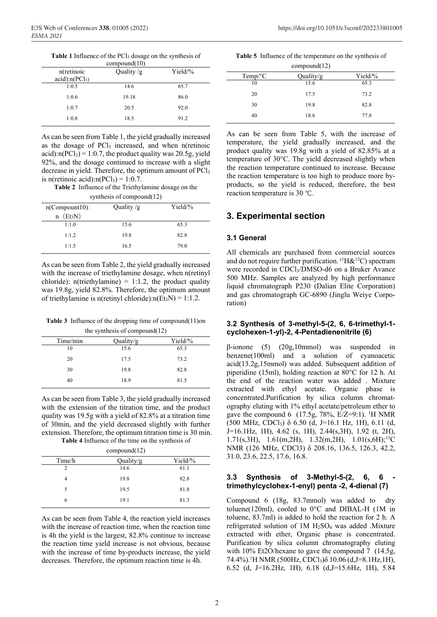**Table 1** Influence of the PCl3 dosage on the synthesis of

| compound(10)       |              |           |  |
|--------------------|--------------|-----------|--|
| n(retinoic         | Quality $/g$ | $Yield\%$ |  |
| $acid$ :n $(PCl3)$ |              |           |  |
| 1:0.5              | 14.6         | 65.7      |  |
| 1:0.6              | 19.18        | 86.0      |  |
| 1:0.7              | 20.5         | 92.0      |  |
| 1:0.8              | 18.5         | 91.2      |  |
|                    |              |           |  |

As can be seen from Table 1, the yield gradually increased as the dosage of  $\text{PCl}_3$  increased, and when n(retinoic acid): $n(PCl<sub>3</sub>) = 1:0.7$ , the product quality was 20.5g, yield 92%, and the dosage continued to increase with a slight decrease in yield. Therefore, the optimum amount of PCl<sub>3</sub> is n(retinoic acid): $n(PCl_3) = 1:0.7$ .

**Table 2** Influence of the Triethylamine dosage on the

| synthesis of compound(12) |              |           |  |
|---------------------------|--------------|-----------|--|
| $n$ (Compount 10):        | Quality $/g$ | $Yield\%$ |  |
| $n$ (Et <sub>3</sub> N)   |              |           |  |
| 1:1.0                     | 15.6         | 65.3      |  |
| 1:1.2                     | 19.8         | 82.8      |  |
| 1:1.5                     | 16.5         | 79.0      |  |

As can be seen from Table 2, the yield gradually increased with the increase of triethylamine dosage, when n(retinyl chloride): n(triethylamine) = 1:1.2, the product quality was 19.8g, yield 82.8%. Therefore, the optimum amount of triethylamine is n(retinyl chloride): $n(Et_3N) = 1:1.2$ .

**Table 3** Influence of the dropping time of compound(11)on

| the synthesis of compound $(12)$ |         |  |  |
|----------------------------------|---------|--|--|
| Quality/g                        | Yield/% |  |  |
| 15.6                             | 65.3    |  |  |
| 17.5                             | 73.2    |  |  |
| 19.8                             | 82.8    |  |  |
| 18.9                             | 81.5    |  |  |
|                                  |         |  |  |

As can be seen from Table 3, the yield gradually increased with the extension of the titration time, and the product quality was 19.5g with a yield of 82.8% at a titration time of 30min, and the yield decreased slightly with further extension. Therefore, the optimum titration time is 30 min. **Table 4** Influence of the time on the synthesis of

| compound(12) |           |         |  |
|--------------|-----------|---------|--|
| Time/h       | Quality/g | Yield/% |  |
| 2            | 14.6      | 61.1    |  |
| 4            | 19.8      | 82.8    |  |
| 5            | 19.5      | 81.8    |  |
|              | 19.1      | 81.3    |  |

As can be seen from Table 4, the reaction yield increases with the increase of reaction time, when the reaction time is 4h the yield is the largest, 82.8% continue to increase the reaction time yield increase is not obvious, because with the increase of time by-products increase, the yield decreases. Therefore, the optimum reaction time is 4h.

| Table 5 Influence of the temperature on the synthesis of |  |  |
|----------------------------------------------------------|--|--|
|                                                          |  |  |

| compound(12)    |           |         |
|-----------------|-----------|---------|
| $Temp^{\circ}C$ | Quality/g | Yield/% |
| 10              | 15.6      | 65.3    |
| 20              | 17.5      | 73.2    |
| 30              | 19.8      | 82.8    |
| 40              | 18.6      | 77.8    |

As can be seen from Table 5, with the increase of temperature, the yield gradually increased, and the product quality was 19.8g with a yield of 82.85% at a temperature of 30°C. The yield decreased slightly when the reaction temperature continued to increase. Because the reaction temperature is too high to produce more byproducts, so the yield is reduced, therefore, the best reaction temperature is 30 ℃.

## **3. Experimental section**

#### **3.1 General**

All chemicals are purchased from commercial sources and do not require further purification.  ${}^{(1}H\&{}^{13}C)$  spectram were recorded in CDCl3/DMSO-d6 on a Bruker Avance 500 MHz. Samples are analyzed by high performance liquid chromatograph P230 (Dalian Elite Corporation) and gas chromatograph GC-6890 (Jinglu Weiye Corporation)

#### **3.2 Synthesis of 3-methyl-5-(2, 6, 6-trimethyl-1 cyclohexen-1-yl)-2, 4-Pentadienenitrile (6)**

β-ionone (5) (20g,10mmol) was suspended in benzene(100ml) and a solution of cyanoacetic acid(13.2g,15mmol) was added. Subsequent addition of piperidine (15ml), holding reaction at 80°C for 12 h. At the end of the reaction water was added . Mixture extracted with ethyl acetate. Organic phase is concentrated.Purification by silica column chromatography eluting with 1% ethyl acetate/petroleum ether to gave the compound 6 (17.5g, 78%,  $E/Z=9:1$ ). <sup>1</sup>H NMR (500 MHz, CDCl3) δ 6.50 (d, J=16.1 Hz, 1H), 6.11 (d, J=16.1Hz, 1H), 4.62 (s, 1H), 2.44(s,3H), 1.92 (t, 2H), 1.71(s,3H), 1.61(m,2H), 1.32(m,2H), 1.01(s,6H);<sup>13</sup>C NMR (126 MHz, CDCl3) δ 208.16, 136.5, 126.3, 42.2, 31.0, 23.6, 22.5, 17.6, 16.8.

#### **3.3 Synthesis of 3-Methyl-5-(2, 6, 6 trimethylcyclohex-1-enyl) penta -2, 4-dienal (7)**

Compound 6 (18g, 83.7mmol) was added to dry toluene(120ml), cooled to 0°C and DIBAL-H (1M in toluene, 83.7ml) is added to hold the reaction for 2 h. A refrigerated solution of  $1M H_2SO_4$  was added .Mixture extracted with ether, Organic phase is concentrated. Purification by silica column chromatography eluting with 10% Et2O/hexane to gave the compound 7 (14.5g, 74.4%).1 H NMR (500Hz, CDCl3)δ 10.06 (d,J=8.1Hz,1H), 6.52 (d, J=16.2Hz, 1H), 6.18 (d,J=15.6Hz, 1H), 5.84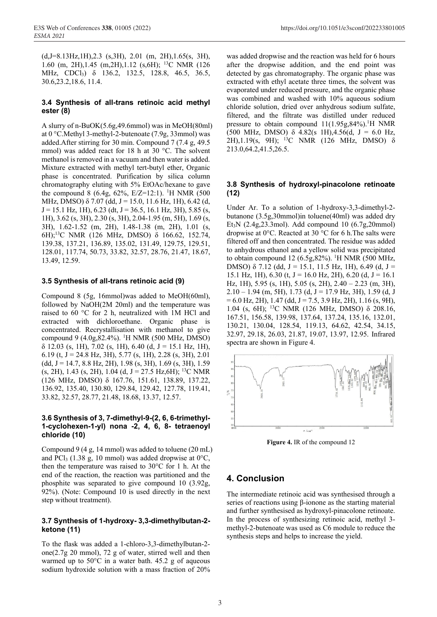(d,J=8.13Hz,1H),2.3 (s,3H), 2.01 (m, 2H),1.65(s, 3H), 1.60 (m, 2H),1.45 (m,2H),1.12 (s,6H); 13C NMR (126 MHz, CDCl3) δ 136.2, 132.5, 128.8, 46.5, 36.5, 30.6,23.2,18.6, 11.4.

#### **3.4 Synthesis of all-trans retinoic acid methyl ester (8)**

A slurry of n-BuOK(5.6g,49.6mmol) was in MeOH(80ml) at 0 °C.Methyl 3-methyl-2-butenoate (7.9g, 33mmol) was added.After stirring for 30 min. Compound 7 (7.4 g, 49.5 mmol) was added react for 18 h at 30 °C. The solvent methanol is removed in a vacuum and then water is added. Mixture extracted with methyl tert-butyl ether, Organic phase is concentrated. Purification by silica column chromatography eluting with 5% EtOAc/hexane to gave the compound 8 (6.4g, 62%, E/Z=12:1). <sup>1</sup>H NMR (500 MHz, DMSO)  $\delta$  7.07 (dd, J = 15.0, 11.6 Hz, 1H), 6.42 (d,  $J = 15.1$  Hz, 1H), 6.23 (dt,  $J = 36.5$ , 16.1 Hz, 3H), 5.85 (s, 1H), 3.62 (s, 3H), 2.30 (s, 3H), 2.04-1.95 (m, 5H), 1.69 (s, 3H), 1.62-1.52 (m, 2H), 1.48-1.38 (m, 2H), 1.01 (s, 6H);13C NMR (126 MHz, DMSO) δ 166.62, 152.74, 139.38, 137.21, 136.89, 135.02, 131.49, 129.75, 129.51, 128.01, 117.74, 50.73, 33.82, 32.57, 28.76, 21.47, 18.67, 13.49, 12.59.

#### **3.5 Synthesis of all-trans retinoic acid (9)**

Compound 8 (5g, 16mmol)was added to MeOH(60ml), followed by NaOH(2M 20ml) and the temperature was raised to 60 °C for 2 h, neutralized with 1M HCl and extracted with dichloroethane. Organic phase is concentrated. Recrystallisation with methanol to give compound 9 (4.0g, 82.4%). <sup>1</sup>H NMR (500 MHz, DMSO)  $\delta$  12.03 (s, 1H), 7.02 (s, 1H), 6.40 (d, J = 15.1 Hz, 1H), 6.19 (t,  $J = 24.8$  Hz, 3H), 5.77 (s, 1H), 2.28 (s, 3H), 2.01  $(dd, J = 14.7, 8.8 Hz, 2H), 1.98 (s, 3H), 1.69 (s, 3H), 1.59$  $(s, 2H)$ , 1.43  $(s, 2H)$ , 1.04  $(d, J = 27.5 \text{ Hz}, 6H)$ ; <sup>13</sup>C NMR (126 MHz, DMSO) δ 167.76, 151.61, 138.89, 137.22, 136.92, 135.40, 130.80, 129.84, 129.42, 127.78, 119.41, 33.82, 32.57, 28.77, 21.48, 18.68, 13.37, 12.57.

#### **3.6 Synthesis of 3, 7-dimethyl-9-(2, 6, 6-trimethyl-1-cyclohexen-1-yl) nona -2, 4, 6, 8- tetraenoyl chloride (10)**

Compound 9 (4 g, 14 mmol) was added to toluene (20 mL) and PCl<sub>3</sub> (1.38 g, 10 mmol) was added dropwise at  $0^{\circ}$ C, then the temperature was raised to 30°C for 1 h. At the end of the reaction, the reaction was partitioned and the phosphite was separated to give compound 10 (3.92g, 92%). (Note: Compound 10 is used directly in the next step without treatment).

#### **3.7 Synthesis of 1-hydroxy- 3,3-dimethylbutan-2 ketone (11)**

To the flask was added a 1-chloro-3,3-dimethylbutan-2 one(2.7g 20 mmol), 72 g of water, stirred well and then warmed up to 50°C in a water bath. 45.2 g of aqueous sodium hydroxide solution with a mass fraction of 20%

was added dropwise and the reaction was held for 6 hours after the dropwise addition, and the end point was detected by gas chromatography. The organic phase was extracted with ethyl acetate three times, the solvent was evaporated under reduced pressure, and the organic phase was combined and washed with 10% aqueous sodium chloride solution, dried over anhydrous sodium sulfate, filtered, and the filtrate was distilled under reduced pressure to obtain compound  $11(1.95g, 84\%)$ .<sup>1</sup>H NMR (500 MHz, DMSO)  $\delta$  4.82(s 1H), 4.56(d, J = 6.0 Hz, 2H),1.19(s, 9H); 13C NMR (126 MHz, DMSO) δ 213.0,64.2,41.5,26.5.

#### **3.8 Synthesis of hydroxyl-pinacolone retinoate (12)**

Under Ar. To a solution of 1-hydroxy-3,3-dimethyl-2 butanone (3.5g,30mmol)in toluene(40ml) was added dry Et3N (2.4g,23.3mol). Add compound 10 (6.7g,20mmol) dropwise at 0°C. Reacted at 30 °C for 6 h.The salts were filtered off and then concentrated. The residue was added to anhydrous ethanol and a yellow solid was precipitated to obtain compound 12 (6.5g, 82%). <sup>1</sup>H NMR (500 MHz, DMSO)  $\delta$  7.12 (dd, J = 15.1, 11.5 Hz, 1H), 6.49 (d, J = 15.1 Hz, 1H), 6.30 (t,  $J = 16.0$  Hz, 2H), 6.20 (d,  $J = 16.1$ Hz, 1H), 5.95 (s, 1H), 5.05 (s, 2H), 2.40 – 2.23 (m, 3H),  $2.10 - 1.94$  (m, 5H), 1.73 (d, J = 17.9 Hz, 3H), 1.59 (d, J  $= 6.0$  Hz, 2H), 1.47 (dd, J = 7.5, 3.9 Hz, 2H), 1.16 (s, 9H), 1.04 (s, 6H); 13C NMR (126 MHz, DMSO) δ 208.16, 167.51, 156.58, 139.98, 137.64, 137.24, 135.16, 132.01, 130.21, 130.04, 128.54, 119.13, 64.62, 42.54, 34.15, 32.97, 29.18, 26.03, 21.87, 19.07, 13.97, 12.95. Infrared spectra are shown in Figure 4.



**Figure 4.** IR of the compound 12

## **4. Conclusion**

The intermediate retinoic acid was synthesised through a series of reactions using β-ionone as the starting material and further synthesised as hydroxyl-pinacolone retinoate. In the process of synthesizing retinoic acid, methyl 3 methyl-2-butenoate was used as C6 module to reduce the synthesis steps and helps to increase the yield.